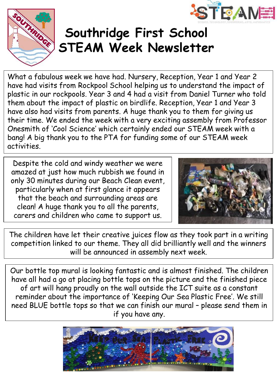



## **Southridge First School STEAM Week Newsletter**

What a fabulous week we have had. Nursery, Reception, Year 1 and Year 2 have had visits from Rockpool School helping us to understand the impact of plastic in our rockpools. Year 3 and 4 had a visit from Daniel Turner who told them about the impact of plastic on birdlife. Reception, Year 1 and Year 3 have also had visits from parents. A huge thank you to them for giving us their time. We ended the week with a very exciting assembly from Professor Onesmith of 'Cool Science' which certainly ended our STEAM week with a bang! A big thank you to the PTA for funding some of our STEAM week activities.

Despite the cold and windy weather we were amazed at just how much rubbish we found in only 30 minutes during our Beach Clean event, particularly when at first glance it appears that the beach and surrounding areas are clean! A huge thank you to all the parents, carers and children who came to support us.



The children have let their creative juices flow as they took part in a writing competition linked to our theme. They all did brilliantly well and the winners will be announced in assembly next week.

Our bottle top mural is looking fantastic and is almost finished. The children have all had a go at placing bottle tops on the picture and the finished piece of art will hang proudly on the wall outside the ICT suite as a constant reminder about the importance of 'Keeping Our Sea Plastic Free'. We still need BLUE bottle tops so that we can finish our mural – please send them in if you have any.